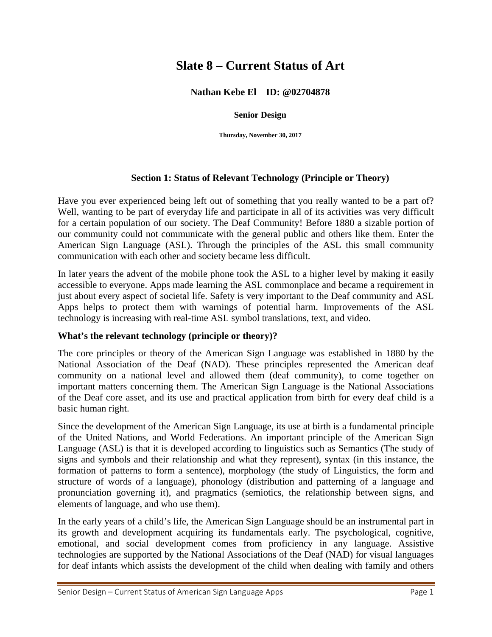# **Slate 8 – Current Status of Art**

## **Nathan Kebe El ID: @02704878**

#### **Senior Design**

**Thursday, November 30, 2017** 

## **Section 1: Status of Relevant Technology (Principle or Theory)**

Have you ever experienced being left out of something that you really wanted to be a part of? Well, wanting to be part of everyday life and participate in all of its activities was very difficult for a certain population of our society. The Deaf Community! Before 1880 a sizable portion of our community could not communicate with the general public and others like them. Enter the American Sign Language (ASL). Through the principles of the ASL this small community communication with each other and society became less difficult.

In later years the advent of the mobile phone took the ASL to a higher level by making it easily accessible to everyone. Apps made learning the ASL commonplace and became a requirement in just about every aspect of societal life. Safety is very important to the Deaf community and ASL Apps helps to protect them with warnings of potential harm. Improvements of the ASL technology is increasing with real-time ASL symbol translations, text, and video.

#### **What's the relevant technology (principle or theory)?**

The core principles or theory of the American Sign Language was established in 1880 by the National Association of the Deaf (NAD). These principles represented the American deaf community on a national level and allowed them (deaf community), to come together on important matters concerning them. The American Sign Language is the National Associations of the Deaf core asset, and its use and practical application from birth for every deaf child is a basic human right.

Since the development of the American Sign Language, its use at birth is a fundamental principle of the United Nations, and World Federations. An important principle of the American Sign Language (ASL) is that it is developed according to linguistics such as Semantics (The study of signs and symbols and their relationship and what they represent), syntax (in this instance, the formation of patterns to form a sentence), morphology (the study of Linguistics, the form and structure of words of a language), phonology (distribution and patterning of a language and pronunciation governing it), and pragmatics (semiotics, the relationship between signs, and elements of language, and who use them).

In the early years of a child's life, the American Sign Language should be an instrumental part in its growth and development acquiring its fundamentals early. The psychological, cognitive, emotional, and social development comes from proficiency in any language. Assistive technologies are supported by the National Associations of the Deaf (NAD) for visual languages for deaf infants which assists the development of the child when dealing with family and others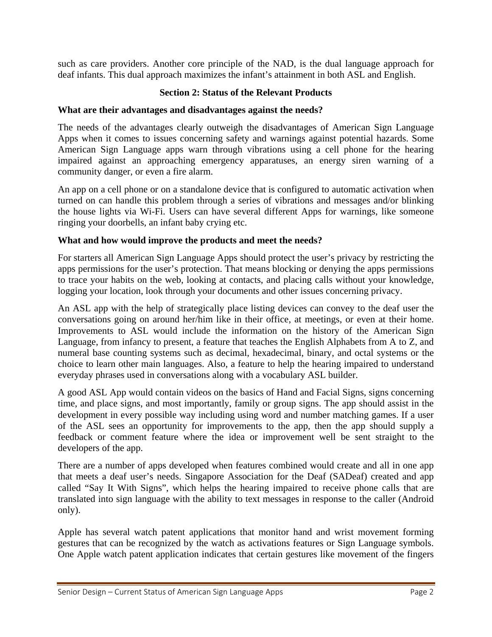such as care providers. Another core principle of the NAD, is the dual language approach for deaf infants. This dual approach maximizes the infant's attainment in both ASL and English.

## **Section 2: Status of the Relevant Products**

#### **What are their advantages and disadvantages against the needs?**

The needs of the advantages clearly outweigh the disadvantages of American Sign Language Apps when it comes to issues concerning safety and warnings against potential hazards. Some American Sign Language apps warn through vibrations using a cell phone for the hearing impaired against an approaching emergency apparatuses, an energy siren warning of a community danger, or even a fire alarm.

An app on a cell phone or on a standalone device that is configured to automatic activation when turned on can handle this problem through a series of vibrations and messages and/or blinking the house lights via Wi-Fi. Users can have several different Apps for warnings, like someone ringing your doorbells, an infant baby crying etc.

## **What and how would improve the products and meet the needs?**

For starters all American Sign Language Apps should protect the user's privacy by restricting the apps permissions for the user's protection. That means blocking or denying the apps permissions to trace your habits on the web, looking at contacts, and placing calls without your knowledge, logging your location, look through your documents and other issues concerning privacy.

An ASL app with the help of strategically place listing devices can convey to the deaf user the conversations going on around her/him like in their office, at meetings, or even at their home. Improvements to ASL would include the information on the history of the American Sign Language, from infancy to present, a feature that teaches the English Alphabets from A to Z, and numeral base counting systems such as decimal, hexadecimal, binary, and octal systems or the choice to learn other main languages. Also, a feature to help the hearing impaired to understand everyday phrases used in conversations along with a vocabulary ASL builder.

A good ASL App would contain videos on the basics of Hand and Facial Signs, signs concerning time, and place signs, and most importantly, family or group signs. The app should assist in the development in every possible way including using word and number matching games. If a user of the ASL sees an opportunity for improvements to the app, then the app should supply a feedback or comment feature where the idea or improvement well be sent straight to the developers of the app.

There are a number of apps developed when features combined would create and all in one app that meets a deaf user's needs. Singapore Association for the Deaf (SADeaf) created and app called "Say It With Signs", which helps the hearing impaired to receive phone calls that are translated into sign language with the ability to text messages in response to the caller (Android only).

Apple has several watch patent applications that monitor hand and wrist movement forming gestures that can be recognized by the watch as activations features or Sign Language symbols. One Apple watch patent application indicates that certain gestures like movement of the fingers